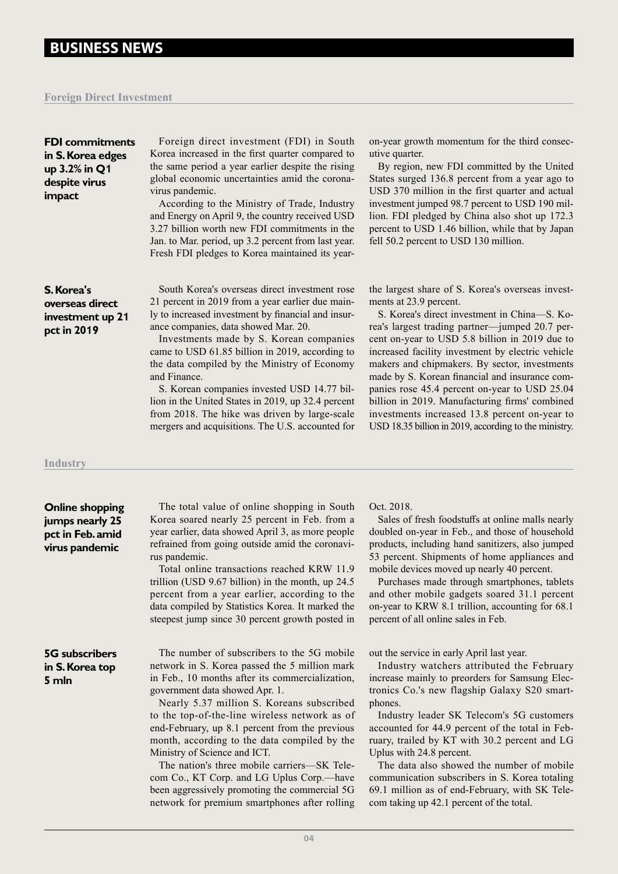# **BUSINESS NEWS**

### **Foreign Direct Investment**

| <b>FDI</b> commitments<br>in S. Korea edges<br>up 3.2% in Q1<br>despite virus<br>impact | Foreign direct investment (FDI) in South<br>Korea increased in the first quarter compared to<br>the same period a year earlier despite the rising<br>global economic uncertainties amid the corona-<br>virus pandemic.<br>According to the Ministry of Trade, Industry<br>and Energy on April 9, the country received USD<br>3.27 billion worth new FDI commitments in the<br>Jan. to Mar. period, up 3.2 percent from last year.<br>Fresh FDI pledges to Korea maintained its year-                                                                                    | on-year growth momentum for the third consec-<br>utive quarter.<br>By region, new FDI committed by the United<br>States surged 136.8 percent from a year ago to<br>USD 370 million in the first quarter and actual<br>investment jumped 98.7 percent to USD 190 mil-<br>lion. FDI pledged by China also shot up 172.3<br>percent to USD 1.46 billion, while that by Japan<br>fell 50.2 percent to USD 130 million.                                                                                                                                                                                  |
|-----------------------------------------------------------------------------------------|-------------------------------------------------------------------------------------------------------------------------------------------------------------------------------------------------------------------------------------------------------------------------------------------------------------------------------------------------------------------------------------------------------------------------------------------------------------------------------------------------------------------------------------------------------------------------|-----------------------------------------------------------------------------------------------------------------------------------------------------------------------------------------------------------------------------------------------------------------------------------------------------------------------------------------------------------------------------------------------------------------------------------------------------------------------------------------------------------------------------------------------------------------------------------------------------|
| S. Korea's<br>overseas direct<br>investment up 21<br>pct in 2019                        | South Korea's overseas direct investment rose<br>21 percent in 2019 from a year earlier due main-<br>ly to increased investment by financial and insur-<br>ance companies, data showed Mar. 20.<br>Investments made by S. Korean companies<br>came to USD 61.85 billion in 2019, according to<br>the data compiled by the Ministry of Economy<br>and Finance.<br>S. Korean companies invested USD 14.77 bil-<br>lion in the United States in 2019, up 32.4 percent<br>from 2018. The hike was driven by large-scale<br>mergers and acquisitions. The U.S. accounted for | the largest share of S. Korea's overseas invest-<br>ments at 23.9 percent.<br>S. Korea's direct investment in China-S. Ko-<br>rea's largest trading partner-jumped 20.7 per-<br>cent on-year to USD 5.8 billion in 2019 due to<br>increased facility investment by electric vehicle<br>makers and chipmakers. By sector, investments<br>made by S. Korean financial and insurance com-<br>panies rose 45.4 percent on-year to USD 25.04<br>billion in 2019. Manufacturing firms' combined<br>investments increased 13.8 percent on-year to<br>USD 18.35 billion in 2019, according to the ministry. |
| Industrv                                                                                |                                                                                                                                                                                                                                                                                                                                                                                                                                                                                                                                                                         |                                                                                                                                                                                                                                                                                                                                                                                                                                                                                                                                                                                                     |
|                                                                                         |                                                                                                                                                                                                                                                                                                                                                                                                                                                                                                                                                                         |                                                                                                                                                                                                                                                                                                                                                                                                                                                                                                                                                                                                     |

**Online shopping jumps nearly 25 pct in Feb. amid virus pandemic**

The total value of online shopping in South Korea soared nearly 25 percent in Feb. from a year earlier, data showed April 3, as more people refrained from going outside amid the coronavirus pandemic.

Total online transactions reached KRW 11.9 trillion (USD 9.67 billion) in the month, up 24.5 percent from a year earlier, according to the data compiled by Statistics Korea. It marked the steepest jump since 30 percent growth posted in

### **5G subscribers in S. Korea top 5 mln**

The number of subscribers to the 5G mobile network in S. Korea passed the 5 million mark in Feb., 10 months after its commercialization, government data showed Apr. 1.

Nearly 5.37 million S. Koreans subscribed to the top-of-the-line wireless network as of end-February, up 8.1 percent from the previous month, according to the data compiled by the Ministry of Science and ICT.

The nation's three mobile carriers—SK Telecom Co., KT Corp. and LG Uplus Corp.—have been aggressively promoting the commercial 5G network for premium smartphones after rolling Oct. 2018.

Sales of fresh foodstuffs at online malls nearly doubled on-year in Feb., and those of household products, including hand sanitizers, also jumped 53 percent. Shipments of home appliances and mobile devices moved up nearly 40 percent.

Purchases made through smartphones, tablets and other mobile gadgets soared 31.1 percent on-year to KRW 8.1 trillion, accounting for 68.1 percent of all online sales in Feb.

out the service in early April last year.

Industry watchers attributed the February increase mainly to preorders for Samsung Electronics Co.'s new flagship Galaxy S20 smartphones.

Industry leader SK Telecom's 5G customers accounted for 44.9 percent of the total in February, trailed by KT with 30.2 percent and LG Uplus with 24.8 percent.

The data also showed the number of mobile communication subscribers in S. Korea totaling 69.1 million as of end-February, with SK Telecom taking up 42.1 percent of the total.